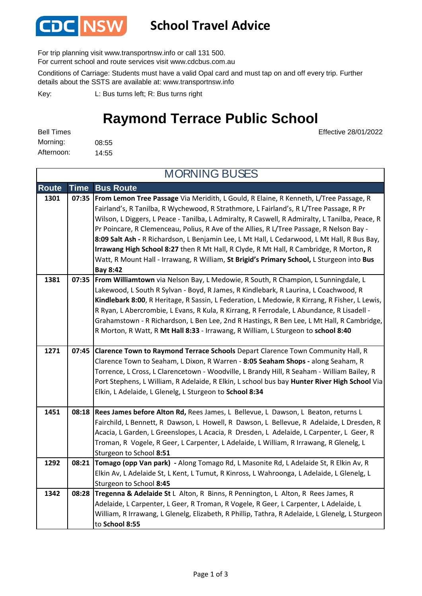

### **School Travel Advice**

For trip planning visit www.transportnsw.info or call 131 500.

For current school and route services visit www.cdcbus.com.au

Conditions of Carriage: Students must have a valid Opal card and must tap on and off every trip. Further details about the SSTS are available at: www.transportnsw.info

L: Bus turns left; R: Bus turns right Key:

# **Raymond Terrace Public School**

Effective 28/01/2022

| <b>Bell Times</b> |       |
|-------------------|-------|
| Morning:          | 08:55 |
| Afternoon:        | 14:55 |

**Route Time Bus Route 1301 07:35 From Lemon Tree Passage** Via Meridith, L Gould, R Elaine, R Kenneth, L/Tree Passage, R Fairland's, R Tanilba, R Wychewood, R Strathmore, L Fairland's, R L/Tree Passage, R Pr Wilson, L Diggers, L Peace - Tanilba, L Admiralty, R Caswell, R Admiralty, L Tanilba, Peace, R Pr Poincare, R Clemenceau, Polius, R Ave of the Allies, R L/Tree Passage, R Nelson Bay - **8:09 Salt Ash -** R Richardson, L Benjamin Lee, L Mt Hall, L Cedarwood, L Mt Hall, R Bus Bay, **Irrawang High School 8:27** then R Mt Hall, R Clyde, R Mt Hall, R Cambridge, R Morton**,** R Watt, R Mount Hall - Irrawang, R William, **St Brigid's Primary School,** L Sturgeon into **Bus Bay 8:42 1381 07:35 From Williamtown** via Nelson Bay, L Medowie, R South, R Champion, L Sunningdale, L Lakewood, L South R Sylvan - Boyd, R James, R Kindlebark, R Laurina, L Coachwood, R **Kindlebark 8:00**, R Heritage, R Sassin, L Federation, L Medowie, R Kirrang, R Fisher, L Lewis, R Ryan, L Abercrombie, L Evans, R Kula, R Kirrang, R Ferrodale, L Abundance, R Lisadell - Grahamstown - R Richardson, L Ben Lee, 2nd R Hastings, R Ben Lee, L Mt Hall, R Cambridge, R Morton, R Watt, R **Mt Hall 8:33** - Irrawang, R William, L Sturgeon to **school 8:40 1271 07:45 Clarence Town to Raymond Terrace Schools** Depart Clarence Town Community Hall, R Clarence Town to Seaham, L Dixon, R Warren - **8:05 Seaham Shops -** along Seaham, R Torrence, L Cross, L Clarencetown - Woodville, L Brandy Hill, R Seaham - William Bailey, R Port Stephens, L William, R Adelaide, R Elkin, L school bus bay **Hunter River High School** Via Elkin, L Adelaide, L Glenelg, L Sturgeon to **School 8:34 1451 08:18 Rees James before Alton Rd,** Rees James, L Bellevue, L Dawson, L Beaton, returns L Fairchild, L Bennett, R Dawson, L Howell, R Dawson, L Bellevue, R Adelaide, L Dresden, R Acacia, L Garden, L Greenslopes, L Acacia, R Dresden, L Adelaide, L Carpenter, L Geer, R Troman, R Vogele, R Geer, L Carpenter, L Adelaide, L William, R Irrawang, R Glenelg, L Sturgeon to School **8:51 1292 08:21 Tomago (opp Van park) -** Along Tomago Rd, L Masonite Rd, L Adelaide St, R Elkin Av, R Elkin Av, L Adelaide St, L Kent, L Tumut, R Kinross, L Wahroonga, L Adelaide, L Glenelg, L Sturgeon to School **8:45 1342 08:28 Tregenna & Adelaide St** L Alton, R Binns, R Pennington, L Alton, R Rees James, R Adelaide, L Carpenter, L Geer, R Troman, R Vogele, R Geer, L Carpenter, L Adelaide, L William, R Irrawang, L Glenelg, Elizabeth, R Phillip, Tathra, R Adelaide, L Glenelg, L Sturgeon to **School 8:55** MORNING BUSES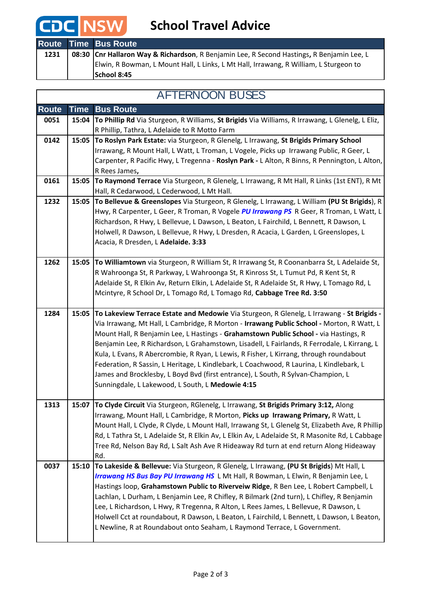# **CDC** NSW School Travel Advice

|      | <b>Route Time Bus Route</b>                                                               |
|------|-------------------------------------------------------------------------------------------|
| 1231 | 08:30 Cnr Hallaron Way & Richardson, R Benjamin Lee, R Second Hastings, R Benjamin Lee, L |
|      | Elwin, R Bowman, L Mount Hall, L Links, L Mt Hall, Irrawang, R William, L Sturgeon to     |
|      | School 8:45                                                                               |

#### AFTERNOON BUSES

| <b>Route</b> | <b>Time</b> | <b>Bus Route</b>                                                                                                                                                                     |
|--------------|-------------|--------------------------------------------------------------------------------------------------------------------------------------------------------------------------------------|
| 0051         | 15:04       | To Phillip Rd Via Sturgeon, R Williams, St Brigids Via Williams, R Irrawang, L Glenelg, L Eliz,                                                                                      |
|              |             | R Phillip, Tathra, L Adelaide to R Motto Farm                                                                                                                                        |
| 0142         | 15:05       | To Roslyn Park Estate: via Sturgeon, R Glenelg, L Irrawang, St Brigids Primary School                                                                                                |
|              |             | Irrawang, R Mount Hall, L Watt, L Troman, L Vogele, Picks up Irrawang Public, R Geer, L                                                                                              |
|              |             | Carpenter, R Pacific Hwy, L Tregenna - Roslyn Park - L Alton, R Binns, R Pennington, L Alton,                                                                                        |
|              |             | R Rees James,                                                                                                                                                                        |
| 0161         | 15:05       | To Raymond Terrace Via Sturgeon, R Glenelg, L Irrawang, R Mt Hall, R Links (1st ENT), R Mt<br>Hall, R Cedarwood, L Cederwood, L Mt Hall.                                             |
| 1232         | 15:05       | To Bellevue & Greenslopes Via Sturgeon, R Glenelg, L Irrawang, L William (PU St Brigids), R                                                                                          |
|              |             | Hwy, R Carpenter, L Geer, R Troman, R Vogele PU Irrawang PS R Geer, R Troman, L Watt, L                                                                                              |
|              |             | Richardson, R Hwy, L Bellevue, L Dawson, L Beaton, L Fairchild, L Bennett, R Dawson, L                                                                                               |
|              |             | Holwell, R Dawson, L Bellevue, R Hwy, L Dresden, R Acacia, L Garden, L Greenslopes, L                                                                                                |
|              |             | Acacia, R Dresden, L Adelaide. 3:33                                                                                                                                                  |
|              |             |                                                                                                                                                                                      |
| 1262         | 15:05       | To Williamtown via Sturgeon, R William St, R Irrawang St, R Coonanbarra St, L Adelaide St,                                                                                           |
|              |             | R Wahroonga St, R Parkway, L Wahroonga St, R Kinross St, L Tumut Pd, R Kent St, R                                                                                                    |
|              |             | Adelaide St, R Elkin Av, Return Elkin, L Adelaide St, R Adelaide St, R Hwy, L Tomago Rd, L                                                                                           |
|              |             | Mcintyre, R School Dr, L Tomago Rd, L Tomago Rd, Cabbage Tree Rd. 3:50                                                                                                               |
| 1284         | 15:05       | To Lakeview Terrace Estate and Medowie Via Sturgeon, R Glenelg, L Irrawang - St Brigids -                                                                                            |
|              |             | Via Irrawang, Mt Hall, L Cambridge, R Morton - Irrawang Public School - Morton, R Watt, L                                                                                            |
|              |             | Mount Hall, R Benjamin Lee, L Hastings - Grahamstown Public School - via Hastings, R                                                                                                 |
|              |             | Benjamin Lee, R Richardson, L Grahamstown, Lisadell, L Fairlands, R Ferrodale, L Kirrang, L                                                                                          |
|              |             | Kula, L Evans, R Abercrombie, R Ryan, L Lewis, R Fisher, L Kirrang, through roundabout                                                                                               |
|              |             | Federation, R Sassin, L Heritage, L Kindlebark, L Coachwood, R Laurina, L Kindlebark, L                                                                                              |
|              |             | James and Brocklesby, L Boyd Bvd (first entrance), L South, R Sylvan-Champion, L                                                                                                     |
|              |             | Sunningdale, L Lakewood, L South, L Medowie 4:15                                                                                                                                     |
|              |             |                                                                                                                                                                                      |
| 1313         | 15:07       | To Clyde Circuit Via Sturgeon, RGlenelg, L Irrawang, St Brigids Primary 3:12, Along                                                                                                  |
|              |             | Irrawang, Mount Hall, L Cambridge, R Morton, Picks up Irrawang Primary, R Watt, L<br>Mount Hall, L Clyde, R Clyde, L Mount Hall, Irrawang St, L Glenelg St, Elizabeth Ave, R Phillip |
|              |             | Rd, L Tathra St, L Adelaide St, R Elkin Av, L Elkin Av, L Adelaide St, R Masonite Rd, L Cabbage                                                                                      |
|              |             | Tree Rd, Nelson Bay Rd, L Salt Ash Ave R Hideaway Rd turn at end return Along Hideaway                                                                                               |
|              |             | Rd.                                                                                                                                                                                  |
| 0037         | 15:10       | To Lakeside & Bellevue: Via Sturgeon, R Glenelg, L Irrawang, (PU St Brigids) Mt Hall, L                                                                                              |
|              |             | Irrawang HS Bus Bay PU Irrawang HS L Mt Hall, R Bowman, L Elwin, R Benjamin Lee, L                                                                                                   |
|              |             | Hastings loop, Grahamstown Public to Riverveiw Ridge, R Ben Lee, L Robert Campbell, L                                                                                                |
|              |             | Lachlan, L Durham, L Benjamin Lee, R Chifley, R Bilmark (2nd turn), L Chifley, R Benjamin                                                                                            |
|              |             | Lee, L Richardson, L Hwy, R Tregenna, R Alton, L Rees James, L Bellevue, R Dawson, L                                                                                                 |
|              |             | Holwell Cct at roundabout, R Dawson, L Beaton, L Fairchild, L Bennett, L Dawson, L Beaton,                                                                                           |
|              |             | L Newline, R at Roundabout onto Seaham, L Raymond Terrace, L Government.                                                                                                             |
|              |             |                                                                                                                                                                                      |